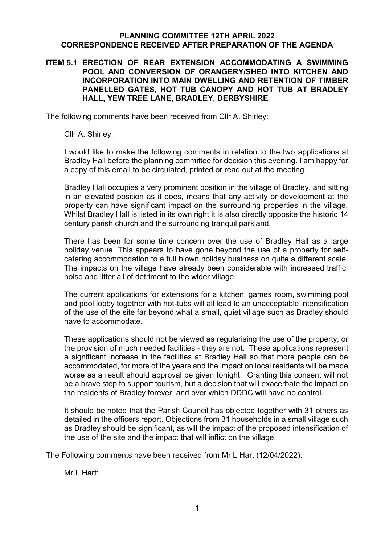#### **PLANNING COMMITTEE 12TH APRIL 2022 CORRESPONDENCE RECEIVED AFTER PREPARATION OF THE AGENDA**

#### **ITEM 5.1 ERECTION OF REAR EXTENSION ACCOMMODATING A SWIMMING POOL AND CONVERSION OF ORANGERY/SHED INTO KITCHEN AND INCORPORATION INTO MAIN DWELLING AND RETENTION OF TIMBER PANELLED GATES, HOT TUB CANOPY AND HOT TUB AT BRADLEY HALL, YEW TREE LANE, BRADLEY, DERBYSHIRE**

The following comments have been received from Cllr A. Shirley:

#### Cllr A. Shirley:

I would like to make the following comments in relation to the two applications at Bradley Hall before the planning committee for decision this evening. I am happy for a copy of this email to be circulated, printed or read out at the meeting.

Bradley Hall occupies a very prominent position in the village of Bradley, and sitting in an elevated position as it does, means that any activity or development at the property can have significant impact on the surrounding properties in the village. Whilst Bradley Hall is listed in its own right it is also directly opposite the historic 14 century parish church and the surrounding tranquil parkland.

There has been for some time concern over the use of Bradley Hall as a large holiday venue. This appears to have gone beyond the use of a property for selfcatering accommodation to a full blown holiday business on quite a different scale. The impacts on the village have already been considerable with increased traffic, noise and litter all of detriment to the wider village.

The current applications for extensions for a kitchen, games room, swimming pool and pool lobby together with hot-tubs will all lead to an unacceptable intensification of the use of the site far beyond what a small, quiet village such as Bradley should have to accommodate.

These applications should not be viewed as regularising the use of the property, or the provision of much needed facilities - they are not. These applications represent a significant increase in the facilities at Bradley Hall so that more people can be accommodated, for more of the years and the impact on local residents will be made worse as a result should approval be given tonight. Granting this consent will not be a brave step to support tourism, but a decision that will exacerbate the impact on the residents of Bradley forever, and over which DDDC will have no control.

It should be noted that the Parish Council has objected together with 31 others as detailed in the officers report. Objections from 31 households in a small village such as Bradley should be significant, as will the impact of the proposed intensification of the use of the site and the impact that will inflict on the village.

The Following comments have been received from Mr L Hart (12/04/2022):

Mr L Hart: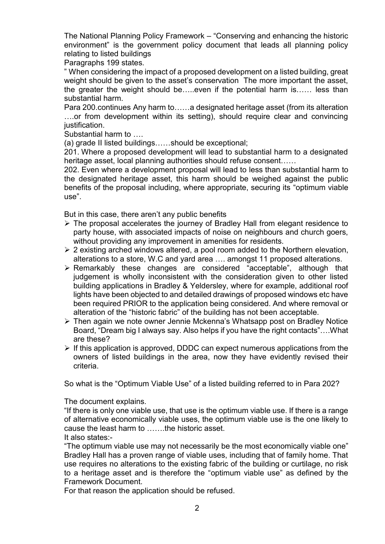The National Planning Policy Framework – "Conserving and enhancing the historic environment" is the government policy document that leads all planning policy relating to listed buildings

Paragraphs 199 states.

" When considering the impact of a proposed development on a listed building, great weight should be given to the asset's conservation The more important the asset, the greater the weight should be…..even if the potential harm is…… less than substantial harm.

Para 200.continues Any harm to……a designated heritage asset (from its alteration ….or from development within its setting), should require clear and convincing justification.

Substantial harm to ….

(a) grade II listed buildings……should be exceptional;

201. Where a proposed development will lead to substantial harm to a designated heritage asset, local planning authorities should refuse consent……

202. Even where a development proposal will lead to less than substantial harm to the designated heritage asset, this harm should be weighed against the public benefits of the proposal including, where appropriate, securing its "optimum viable use".

But in this case, there aren't any public benefits

- The proposal accelerates the journey of Bradley Hall from elegant residence to party house, with associated impacts of noise on neighbours and church goers, without providing any improvement in amenities for residents.
- $\geq 2$  existing arched windows altered, a pool room added to the Northern elevation, alterations to a store, W.C and yard area …. amongst 11 proposed alterations.
- Remarkably these changes are considered "acceptable", although that judgement is wholly inconsistent with the consideration given to other listed building applications in Bradley & Yeldersley, where for example, additional roof lights have been objected to and detailed drawings of proposed windows etc have been required PRIOR to the application being considered. And where removal or alteration of the "historic fabric" of the building has not been acceptable.
- Then again we note owner Jennie Mckenna's Whatsapp post on Bradley Notice Board, "Dream big I always say. Also helps if you have the right contacts"….What are these?
- $\triangleright$  If this application is approved, DDDC can expect numerous applications from the owners of listed buildings in the area, now they have evidently revised their criteria.

So what is the "Optimum Viable Use" of a listed building referred to in Para 202?

The document explains.

"If there is only one viable use, that use is the optimum viable use. If there is a range of alternative economically viable uses, the optimum viable use is the one likely to cause the least harm to …….the historic asset.

It also states:-

"The optimum viable use may not necessarily be the most economically viable one" Bradley Hall has a proven range of viable uses, including that of family home. That use requires no alterations to the existing fabric of the building or curtilage, no risk to a heritage asset and is therefore the "optimum viable use" as defined by the Framework Document.

For that reason the application should be refused.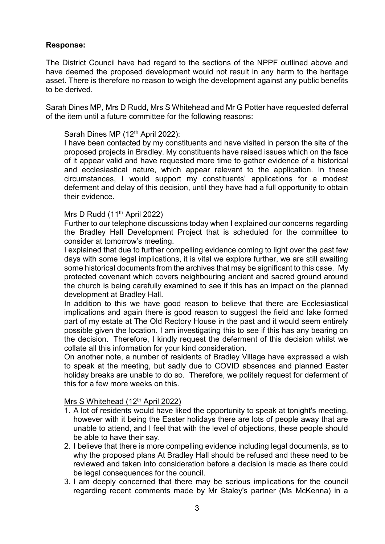## **Response:**

The District Council have had regard to the sections of the NPPF outlined above and have deemed the proposed development would not result in any harm to the heritage asset. There is therefore no reason to weigh the development against any public benefits to be derived.

Sarah Dines MP, Mrs D Rudd, Mrs S Whitehead and Mr G Potter have requested deferral of the item until a future committee for the following reasons:

# Sarah Dines MP (12<sup>th</sup> April 2022):

I have been contacted by my constituents and have visited in person the site of the proposed projects in Bradley. My constituents have raised issues which on the face of it appear valid and have requested more time to gather evidence of a historical and ecclesiastical nature, which appear relevant to the application. In these circumstances, I would support my constituents' applications for a modest deferment and delay of this decision, until they have had a full opportunity to obtain their evidence.

#### Mrs D Rudd (11th April 2022)

Further to our telephone discussions today when I explained our concerns regarding the Bradley Hall Development Project that is scheduled for the committee to consider at tomorrow's meeting.

I explained that due to further compelling evidence coming to light over the past few days with some legal implications, it is vital we explore further, we are still awaiting some historical documents from the archives that may be significant to this case. My protected covenant which covers neighbouring ancient and sacred ground around the church is being carefully examined to see if this has an impact on the planned development at Bradley Hall.

In addition to this we have good reason to believe that there are Ecclesiastical implications and again there is good reason to suggest the field and lake formed part of my estate at The Old Rectory House in the past and it would seem entirely possible given the location. I am investigating this to see if this has any bearing on the decision. Therefore, I kindly request the deferment of this decision whilst we collate all this information for your kind consideration.

On another note, a number of residents of Bradley Village have expressed a wish to speak at the meeting, but sadly due to COVID absences and planned Easter holiday breaks are unable to do so. Therefore, we politely request for deferment of this for a few more weeks on this.

#### Mrs S Whitehead (12<sup>th</sup> April 2022)

- 1. A lot of residents would have liked the opportunity to speak at tonight's meeting, however with it being the Easter holidays there are lots of people away that are unable to attend, and I feel that with the level of objections, these people should be able to have their say.
- 2. I believe that there is more compelling evidence including legal documents, as to why the proposed plans At Bradley Hall should be refused and these need to be reviewed and taken into consideration before a decision is made as there could be legal consequences for the council.
- 3. I am deeply concerned that there may be serious implications for the council regarding recent comments made by Mr Staley's partner (Ms McKenna) in a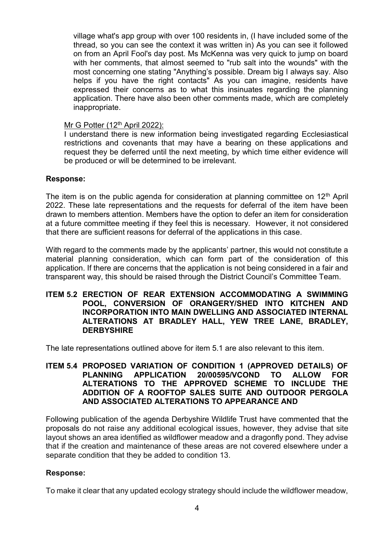village what's app group with over 100 residents in, (I have included some of the thread, so you can see the context it was written in) As you can see it followed on from an April Fool's day post. Ms McKenna was very quick to jump on board with her comments, that almost seemed to "rub salt into the wounds" with the most concerning one stating "Anything's possible. Dream big I always say. Also helps if you have the right contacts" As you can imagine, residents have expressed their concerns as to what this insinuates regarding the planning application. There have also been other comments made, which are completely inappropriate.

#### Mr G Potter (12<sup>th</sup> April 2022):

I understand there is new information being investigated regarding Ecclesiastical restrictions and covenants that may have a bearing on these applications and request they be deferred until the next meeting, by which time either evidence will be produced or will be determined to be irrelevant.

#### **Response:**

The item is on the public agenda for consideration at planning committee on  $12<sup>th</sup>$  April 2022. These late representations and the requests for deferral of the item have been drawn to members attention. Members have the option to defer an item for consideration at a future committee meeting if they feel this is necessary. However, it not considered that there are sufficient reasons for deferral of the applications in this case.

With regard to the comments made by the applicants' partner, this would not constitute a material planning consideration, which can form part of the consideration of this application. If there are concerns that the application is not being considered in a fair and transparent way, this should be raised through the District Council's Committee Team.

#### **ITEM 5.2 ERECTION OF REAR EXTENSION ACCOMMODATING A SWIMMING POOL, CONVERSION OF ORANGERY/SHED INTO KITCHEN AND INCORPORATION INTO MAIN DWELLING AND ASSOCIATED INTERNAL ALTERATIONS AT BRADLEY HALL, YEW TREE LANE, BRADLEY, DERBYSHIRE**

The late representations outlined above for item 5.1 are also relevant to this item.

#### **ITEM 5.4 PROPOSED VARIATION OF CONDITION 1 (APPROVED DETAILS) OF PLANNING APPLICATION 20/00595/VCOND TO ALLOW FOR ALTERATIONS TO THE APPROVED SCHEME TO INCLUDE THE ADDITION OF A ROOFTOP SALES SUITE AND OUTDOOR PERGOLA AND ASSOCIATED ALTERATIONS TO APPEARANCE AND**

Following publication of the agenda Derbyshire Wildlife Trust have commented that the proposals do not raise any additional ecological issues, however, they advise that site layout shows an area identified as wildflower meadow and a dragonfly pond. They advise that if the creation and maintenance of these areas are not covered elsewhere under a separate condition that they be added to condition 13.

#### **Response:**

To make it clear that any updated ecology strategy should include the wildflower meadow,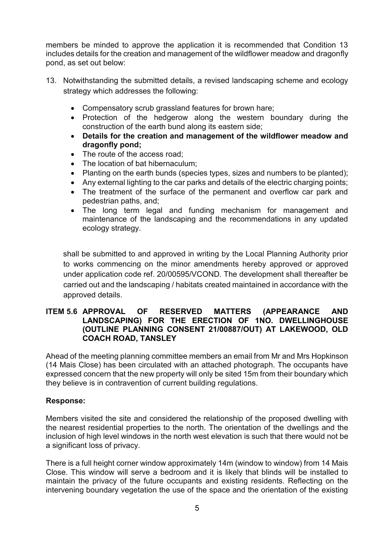members be minded to approve the application it is recommended that Condition 13 includes details for the creation and management of the wildflower meadow and dragonfly pond, as set out below:

- 13. Notwithstanding the submitted details, a revised landscaping scheme and ecology strategy which addresses the following:
	- Compensatory scrub grassland features for brown hare;
	- Protection of the hedgerow along the western boundary during the construction of the earth bund along its eastern side;
	- **Details for the creation and management of the wildflower meadow and dragonfly pond;**
	- The route of the access road;
	- The location of bat hibernaculum:
	- Planting on the earth bunds (species types, sizes and numbers to be planted);
	- Any external lighting to the car parks and details of the electric charging points;
	- The treatment of the surface of the permanent and overflow car park and pedestrian paths, and;
	- The long term legal and funding mechanism for management and maintenance of the landscaping and the recommendations in any updated ecology strategy.

 shall be submitted to and approved in writing by the Local Planning Authority prior to works commencing on the minor amendments hereby approved or approved under application code ref. 20/00595/VCOND. The development shall thereafter be carried out and the landscaping / habitats created maintained in accordance with the approved details.

### **ITEM 5.6 APPROVAL OF RESERVED MATTERS (APPEARANCE AND LANDSCAPING) FOR THE ERECTION OF 1NO. DWELLINGHOUSE (OUTLINE PLANNING CONSENT 21/00887/OUT) AT LAKEWOOD, OLD COACH ROAD, TANSLEY**

Ahead of the meeting planning committee members an email from Mr and Mrs Hopkinson (14 Mais Close) has been circulated with an attached photograph. The occupants have expressed concern that the new property will only be sited 15m from their boundary which they believe is in contravention of current building regulations.

# **Response:**

Members visited the site and considered the relationship of the proposed dwelling with the nearest residential properties to the north. The orientation of the dwellings and the inclusion of high level windows in the north west elevation is such that there would not be a significant loss of privacy.

There is a full height corner window approximately 14m (window to window) from 14 Mais Close. This window will serve a bedroom and it is likely that blinds will be installed to maintain the privacy of the future occupants and existing residents. Reflecting on the intervening boundary vegetation the use of the space and the orientation of the existing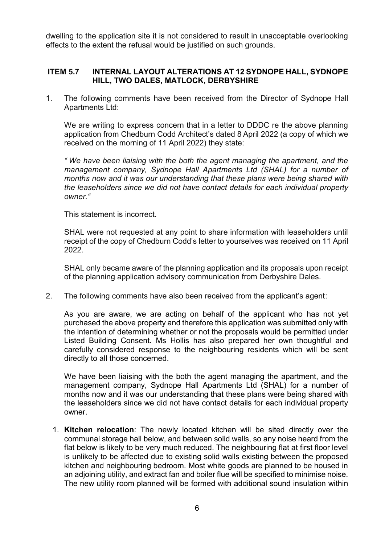dwelling to the application site it is not considered to result in unacceptable overlooking effects to the extent the refusal would be justified on such grounds.

#### **ITEM 5.7 INTERNAL LAYOUT ALTERATIONS AT 12 SYDNOPE HALL, SYDNOPE HILL, TWO DALES, MATLOCK, DERBYSHIRE**

1. The following comments have been received from the Director of Sydnope Hall Apartments Ltd:

We are writing to express concern that in a letter to DDDC re the above planning application from Chedburn Codd Architect's dated 8 April 2022 (a copy of which we received on the morning of 11 April 2022) they state:

*" We have been liaising with the both the agent managing the apartment, and the management company, Sydnope Hall Apartments Ltd (SHAL) for a number of months now and it was our understanding that these plans were being shared with the leaseholders since we did not have contact details for each individual property owner."*

This statement is incorrect.

SHAL were not requested at any point to share information with leaseholders until receipt of the copy of Chedburn Codd's letter to yourselves was received on 11 April 2022.

SHAL only became aware of the planning application and its proposals upon receipt of the planning application advisory communication from Derbyshire Dales.

2. The following comments have also been received from the applicant's agent:

As you are aware, we are acting on behalf of the applicant who has not yet purchased the above property and therefore this application was submitted only with the intention of determining whether or not the proposals would be permitted under Listed Building Consent. Ms Hollis has also prepared her own thoughtful and carefully considered response to the neighbouring residents which will be sent directly to all those concerned.

We have been liaising with the both the agent managing the apartment, and the management company, Sydnope Hall Apartments Ltd (SHAL) for a number of months now and it was our understanding that these plans were being shared with the leaseholders since we did not have contact details for each individual property owner.

1. **Kitchen relocation**: The newly located kitchen will be sited directly over the communal storage hall below, and between solid walls, so any noise heard from the flat below is likely to be very much reduced. The neighbouring flat at first floor level is unlikely to be affected due to existing solid walls existing between the proposed kitchen and neighbouring bedroom. Most white goods are planned to be housed in an adjoining utility, and extract fan and boiler flue will be specified to minimise noise. The new utility room planned will be formed with additional sound insulation within